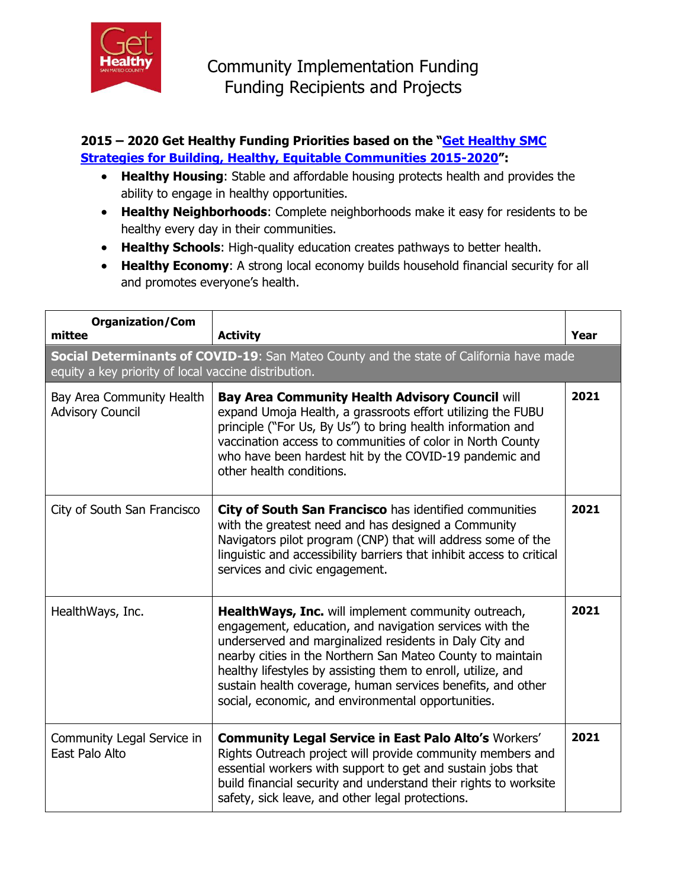

## **2015 – 2020 Get Healthy Funding Priorities based on the "[Get Healthy SMC](http://www.gethealthysmc.org/sites/main/files/file-attachments/get_healthy_smc_strategic_plan_2015-2020_final.pdf)  [Strategies for Building, Healthy, Equitable Communities 2015-2020](http://www.gethealthysmc.org/sites/main/files/file-attachments/get_healthy_smc_strategic_plan_2015-2020_final.pdf)":**

- **Healthy Housing**: Stable and affordable housing protects health and provides the ability to engage in healthy opportunities.
- **Healthy Neighborhoods**: Complete neighborhoods make it easy for residents to be healthy every day in their communities.
- **Healthy Schools**: High-quality education creates pathways to better health.
- **Healthy Economy**: A strong local economy builds household financial security for all and promotes everyone's health.

| <b>Organization/Com</b><br>mittee                                                                                                               | <b>Activity</b>                                                                                                                                                                                                                                                                                                                                                                                                              | Year |
|-------------------------------------------------------------------------------------------------------------------------------------------------|------------------------------------------------------------------------------------------------------------------------------------------------------------------------------------------------------------------------------------------------------------------------------------------------------------------------------------------------------------------------------------------------------------------------------|------|
| Social Determinants of COVID-19: San Mateo County and the state of California have made<br>equity a key priority of local vaccine distribution. |                                                                                                                                                                                                                                                                                                                                                                                                                              |      |
| Bay Area Community Health<br><b>Advisory Council</b>                                                                                            | <b>Bay Area Community Health Advisory Council will</b><br>expand Umoja Health, a grassroots effort utilizing the FUBU<br>principle ("For Us, By Us") to bring health information and<br>vaccination access to communities of color in North County<br>who have been hardest hit by the COVID-19 pandemic and<br>other health conditions.                                                                                     | 2021 |
| City of South San Francisco                                                                                                                     | City of South San Francisco has identified communities<br>with the greatest need and has designed a Community<br>Navigators pilot program (CNP) that will address some of the<br>linguistic and accessibility barriers that inhibit access to critical<br>services and civic engagement.                                                                                                                                     | 2021 |
| HealthWays, Inc.                                                                                                                                | HealthWays, Inc. will implement community outreach,<br>engagement, education, and navigation services with the<br>underserved and marginalized residents in Daly City and<br>nearby cities in the Northern San Mateo County to maintain<br>healthy lifestyles by assisting them to enroll, utilize, and<br>sustain health coverage, human services benefits, and other<br>social, economic, and environmental opportunities. | 2021 |
| Community Legal Service in<br>East Palo Alto                                                                                                    | <b>Community Legal Service in East Palo Alto's Workers'</b><br>Rights Outreach project will provide community members and<br>essential workers with support to get and sustain jobs that<br>build financial security and understand their rights to worksite<br>safety, sick leave, and other legal protections.                                                                                                             | 2021 |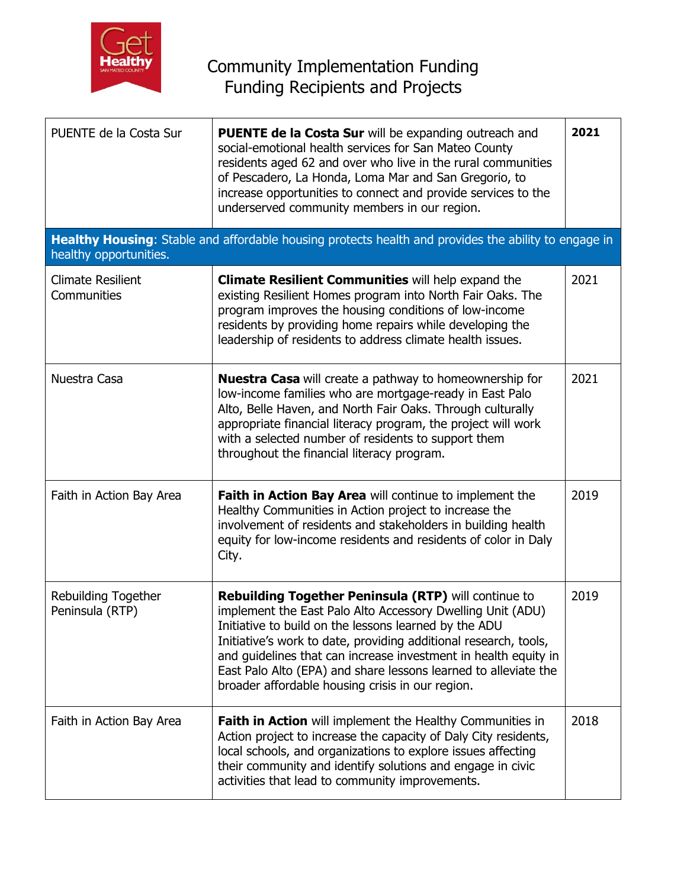

| PUENTE de la Costa Sur                        | <b>PUENTE de la Costa Sur</b> will be expanding outreach and<br>social-emotional health services for San Mateo County<br>residents aged 62 and over who live in the rural communities<br>of Pescadero, La Honda, Loma Mar and San Gregorio, to<br>increase opportunities to connect and provide services to the<br>underserved community members in our region.                                                                           | 2021 |
|-----------------------------------------------|-------------------------------------------------------------------------------------------------------------------------------------------------------------------------------------------------------------------------------------------------------------------------------------------------------------------------------------------------------------------------------------------------------------------------------------------|------|
| healthy opportunities.                        | Healthy Housing: Stable and affordable housing protects health and provides the ability to engage in                                                                                                                                                                                                                                                                                                                                      |      |
| <b>Climate Resilient</b><br>Communities       | <b>Climate Resilient Communities will help expand the</b><br>existing Resilient Homes program into North Fair Oaks. The<br>program improves the housing conditions of low-income<br>residents by providing home repairs while developing the<br>leadership of residents to address climate health issues.                                                                                                                                 | 2021 |
| Nuestra Casa                                  | <b>Nuestra Casa</b> will create a pathway to homeownership for<br>low-income families who are mortgage-ready in East Palo<br>Alto, Belle Haven, and North Fair Oaks. Through culturally<br>appropriate financial literacy program, the project will work<br>with a selected number of residents to support them<br>throughout the financial literacy program.                                                                             | 2021 |
| Faith in Action Bay Area                      | Faith in Action Bay Area will continue to implement the<br>Healthy Communities in Action project to increase the<br>involvement of residents and stakeholders in building health<br>equity for low-income residents and residents of color in Daly<br>City.                                                                                                                                                                               | 2019 |
| <b>Rebuilding Together</b><br>Peninsula (RTP) | Rebuilding Together Peninsula (RTP) will continue to<br>implement the East Palo Alto Accessory Dwelling Unit (ADU)<br>Initiative to build on the lessons learned by the ADU<br>Initiative's work to date, providing additional research, tools,<br>and guidelines that can increase investment in health equity in<br>East Palo Alto (EPA) and share lessons learned to alleviate the<br>broader affordable housing crisis in our region. | 2019 |
| Faith in Action Bay Area                      | <b>Faith in Action</b> will implement the Healthy Communities in<br>Action project to increase the capacity of Daly City residents,<br>local schools, and organizations to explore issues affecting<br>their community and identify solutions and engage in civic<br>activities that lead to community improvements.                                                                                                                      | 2018 |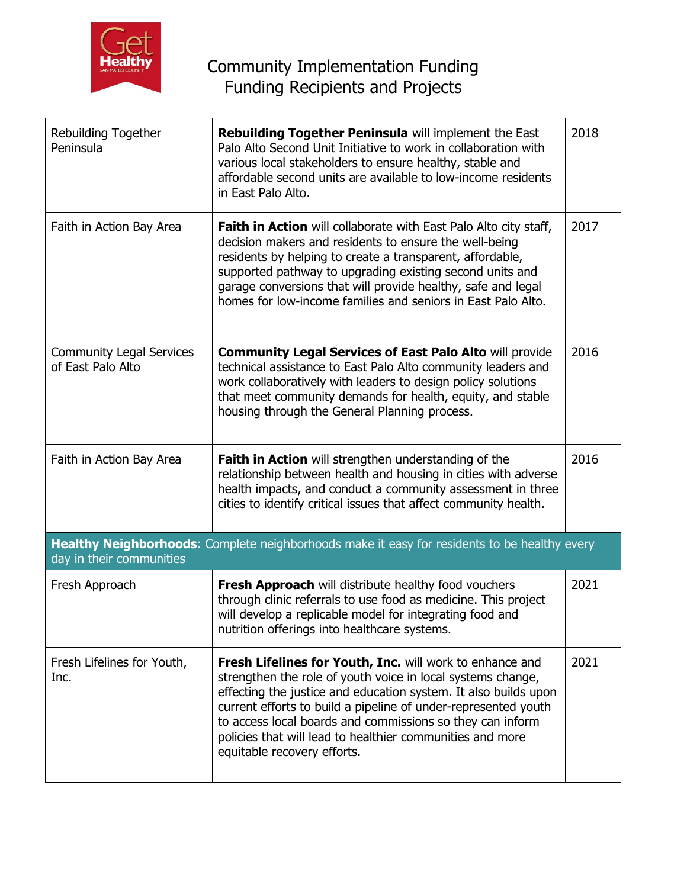

| Rebuilding Together<br>Peninsula                                                                                         | Rebuilding Together Peninsula will implement the East<br>Palo Alto Second Unit Initiative to work in collaboration with<br>various local stakeholders to ensure healthy, stable and<br>affordable second units are available to low-income residents<br>in East Palo Alto.                                                                                                                                            | 2018 |  |
|--------------------------------------------------------------------------------------------------------------------------|-----------------------------------------------------------------------------------------------------------------------------------------------------------------------------------------------------------------------------------------------------------------------------------------------------------------------------------------------------------------------------------------------------------------------|------|--|
| Faith in Action Bay Area                                                                                                 | <b>Faith in Action</b> will collaborate with East Palo Alto city staff,<br>decision makers and residents to ensure the well-being<br>residents by helping to create a transparent, affordable,<br>supported pathway to upgrading existing second units and<br>garage conversions that will provide healthy, safe and legal<br>homes for low-income families and seniors in East Palo Alto.                            | 2017 |  |
| <b>Community Legal Services</b><br>of East Palo Alto                                                                     | <b>Community Legal Services of East Palo Alto will provide</b><br>technical assistance to East Palo Alto community leaders and<br>work collaboratively with leaders to design policy solutions<br>that meet community demands for health, equity, and stable<br>housing through the General Planning process.                                                                                                         | 2016 |  |
| Faith in Action Bay Area                                                                                                 | Faith in Action will strengthen understanding of the<br>relationship between health and housing in cities with adverse<br>health impacts, and conduct a community assessment in three<br>cities to identify critical issues that affect community health.                                                                                                                                                             | 2016 |  |
| Healthy Neighborhoods: Complete neighborhoods make it easy for residents to be healthy every<br>day in their communities |                                                                                                                                                                                                                                                                                                                                                                                                                       |      |  |
| Fresh Approach                                                                                                           | Fresh Approach will distribute healthy food vouchers<br>through clinic referrals to use food as medicine. This project<br>will develop a replicable model for integrating food and<br>nutrition offerings into healthcare systems.                                                                                                                                                                                    | 2021 |  |
| Fresh Lifelines for Youth,<br>Inc.                                                                                       | Fresh Lifelines for Youth, Inc. will work to enhance and<br>strengthen the role of youth voice in local systems change,<br>effecting the justice and education system. It also builds upon<br>current efforts to build a pipeline of under-represented youth<br>to access local boards and commissions so they can inform<br>policies that will lead to healthier communities and more<br>equitable recovery efforts. | 2021 |  |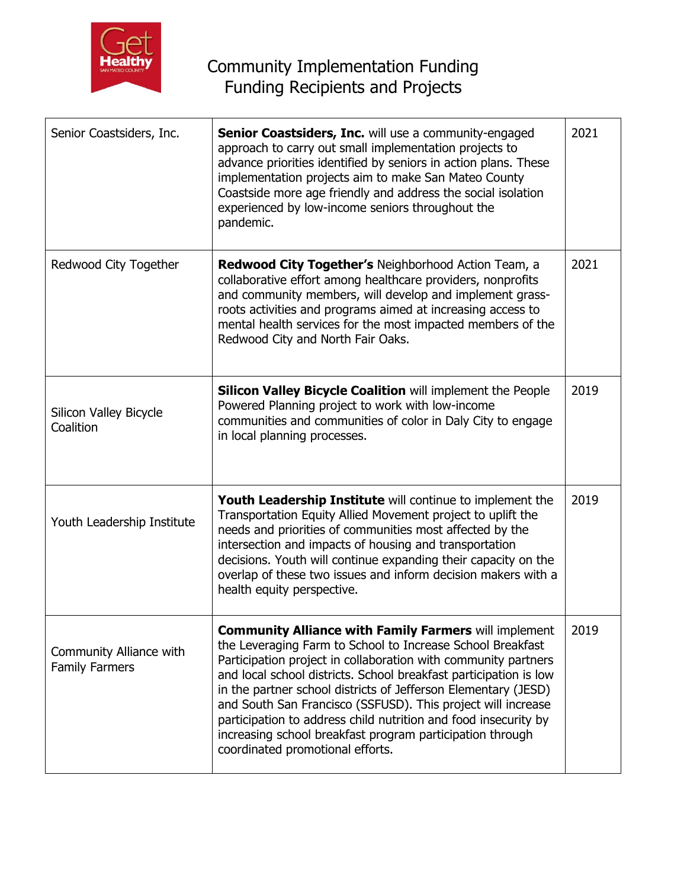

| Senior Coastsiders, Inc.                         | <b>Senior Coastsiders, Inc.</b> will use a community-engaged<br>approach to carry out small implementation projects to<br>advance priorities identified by seniors in action plans. These<br>implementation projects aim to make San Mateo County<br>Coastside more age friendly and address the social isolation<br>experienced by low-income seniors throughout the<br>pandemic.                                                                                                                                                                                      | 2021 |
|--------------------------------------------------|-------------------------------------------------------------------------------------------------------------------------------------------------------------------------------------------------------------------------------------------------------------------------------------------------------------------------------------------------------------------------------------------------------------------------------------------------------------------------------------------------------------------------------------------------------------------------|------|
| Redwood City Together                            | <b>Redwood City Together's Neighborhood Action Team, a</b><br>collaborative effort among healthcare providers, nonprofits<br>and community members, will develop and implement grass-<br>roots activities and programs aimed at increasing access to<br>mental health services for the most impacted members of the<br>Redwood City and North Fair Oaks.                                                                                                                                                                                                                | 2021 |
| Silicon Valley Bicycle<br>Coalition              | <b>Silicon Valley Bicycle Coalition will implement the People</b><br>Powered Planning project to work with low-income<br>communities and communities of color in Daly City to engage<br>in local planning processes.                                                                                                                                                                                                                                                                                                                                                    | 2019 |
| Youth Leadership Institute                       | Youth Leadership Institute will continue to implement the<br>Transportation Equity Allied Movement project to uplift the<br>needs and priorities of communities most affected by the<br>intersection and impacts of housing and transportation<br>decisions. Youth will continue expanding their capacity on the<br>overlap of these two issues and inform decision makers with a<br>health equity perspective.                                                                                                                                                         | 2019 |
| Community Alliance with<br><b>Family Farmers</b> | <b>Community Alliance with Family Farmers will implement</b><br>the Leveraging Farm to School to Increase School Breakfast<br>Participation project in collaboration with community partners<br>and local school districts. School breakfast participation is low<br>in the partner school districts of Jefferson Elementary (JESD)<br>and South San Francisco (SSFUSD). This project will increase<br>participation to address child nutrition and food insecurity by<br>increasing school breakfast program participation through<br>coordinated promotional efforts. | 2019 |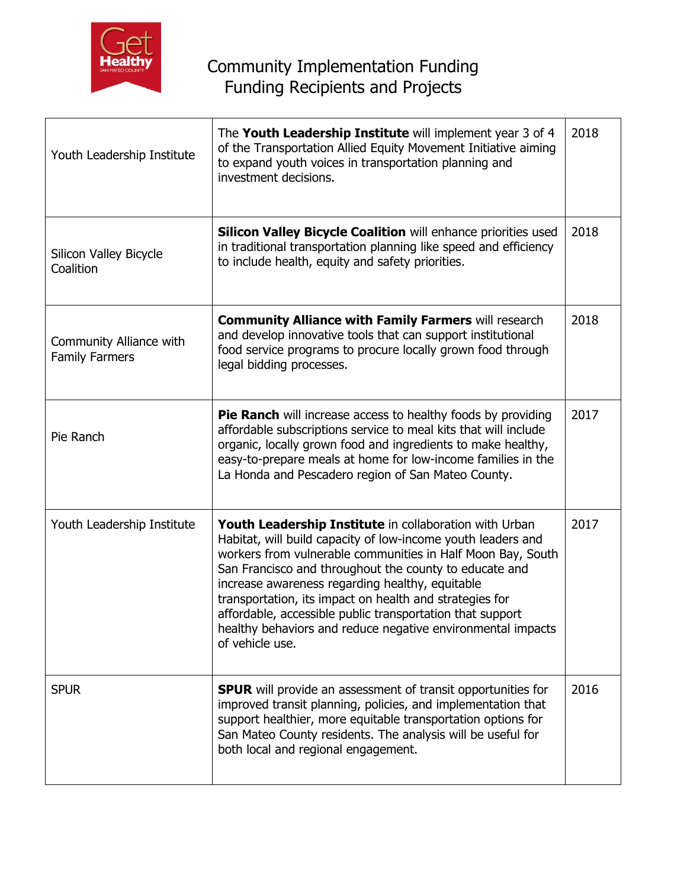

| Youth Leadership Institute                       | The Youth Leadership Institute will implement year 3 of 4<br>of the Transportation Allied Equity Movement Initiative aiming<br>to expand youth voices in transportation planning and<br>investment decisions.                                                                                                                                                                                                                                                                                                | 2018 |
|--------------------------------------------------|--------------------------------------------------------------------------------------------------------------------------------------------------------------------------------------------------------------------------------------------------------------------------------------------------------------------------------------------------------------------------------------------------------------------------------------------------------------------------------------------------------------|------|
| Silicon Valley Bicycle<br>Coalition              | <b>Silicon Valley Bicycle Coalition will enhance priorities used</b><br>in traditional transportation planning like speed and efficiency<br>to include health, equity and safety priorities.                                                                                                                                                                                                                                                                                                                 | 2018 |
| Community Alliance with<br><b>Family Farmers</b> | <b>Community Alliance with Family Farmers will research</b><br>and develop innovative tools that can support institutional<br>food service programs to procure locally grown food through<br>legal bidding processes.                                                                                                                                                                                                                                                                                        | 2018 |
| Pie Ranch                                        | <b>Pie Ranch</b> will increase access to healthy foods by providing<br>affordable subscriptions service to meal kits that will include<br>organic, locally grown food and ingredients to make healthy,<br>easy-to-prepare meals at home for low-income families in the<br>La Honda and Pescadero region of San Mateo County.                                                                                                                                                                                 | 2017 |
| Youth Leadership Institute                       | Youth Leadership Institute in collaboration with Urban<br>Habitat, will build capacity of low-income youth leaders and<br>workers from vulnerable communities in Half Moon Bay, South<br>San Francisco and throughout the county to educate and<br>increase awareness regarding healthy, equitable<br>transportation, its impact on health and strategies for<br>affordable, accessible public transportation that support<br>healthy behaviors and reduce negative environmental impacts<br>of vehicle use. | 2017 |
| <b>SPUR</b>                                      | <b>SPUR</b> will provide an assessment of transit opportunities for<br>improved transit planning, policies, and implementation that<br>support healthier, more equitable transportation options for<br>San Mateo County residents. The analysis will be useful for<br>both local and regional engagement.                                                                                                                                                                                                    | 2016 |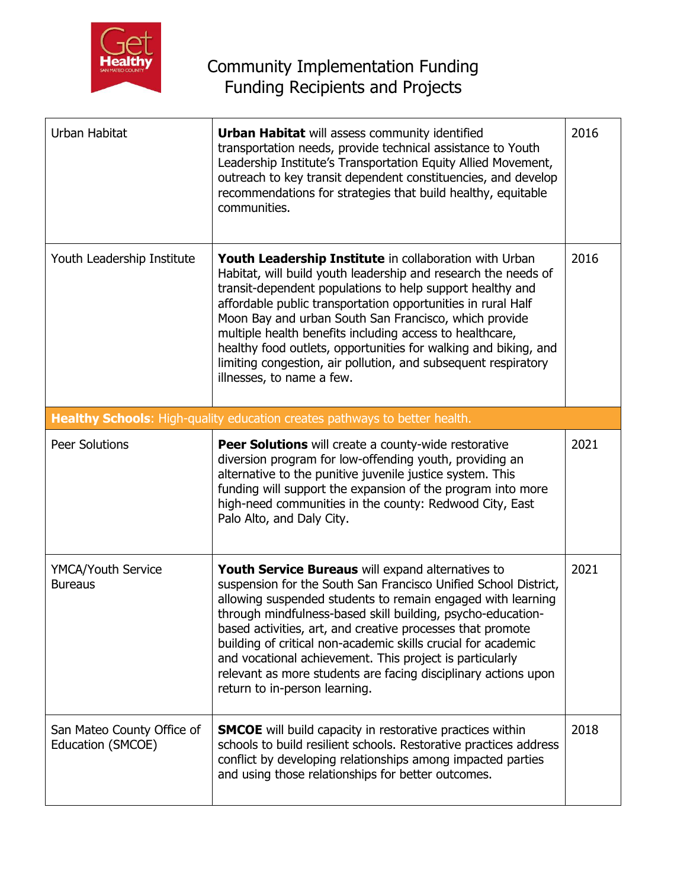

## Community Implementation Funding Funding Recipients and Projects

| Urban Habitat                                   | <b>Urban Habitat</b> will assess community identified<br>transportation needs, provide technical assistance to Youth<br>Leadership Institute's Transportation Equity Allied Movement,<br>outreach to key transit dependent constituencies, and develop<br>recommendations for strategies that build healthy, equitable<br>communities.                                                                                                                                                                                                           | 2016 |
|-------------------------------------------------|--------------------------------------------------------------------------------------------------------------------------------------------------------------------------------------------------------------------------------------------------------------------------------------------------------------------------------------------------------------------------------------------------------------------------------------------------------------------------------------------------------------------------------------------------|------|
| Youth Leadership Institute                      | Youth Leadership Institute in collaboration with Urban<br>Habitat, will build youth leadership and research the needs of<br>transit-dependent populations to help support healthy and<br>affordable public transportation opportunities in rural Half<br>Moon Bay and urban South San Francisco, which provide<br>multiple health benefits including access to healthcare,<br>healthy food outlets, opportunities for walking and biking, and<br>limiting congestion, air pollution, and subsequent respiratory<br>illnesses, to name a few.     | 2016 |
|                                                 | Healthy Schools: High-quality education creates pathways to better health.                                                                                                                                                                                                                                                                                                                                                                                                                                                                       |      |
| <b>Peer Solutions</b>                           | <b>Peer Solutions</b> will create a county-wide restorative<br>diversion program for low-offending youth, providing an<br>alternative to the punitive juvenile justice system. This<br>funding will support the expansion of the program into more<br>high-need communities in the county: Redwood City, East<br>Palo Alto, and Daly City.                                                                                                                                                                                                       | 2021 |
| <b>YMCA/Youth Service</b><br><b>Bureaus</b>     | Youth Service Bureaus will expand alternatives to<br>suspension for the South San Francisco Unified School District,<br>allowing suspended students to remain engaged with learning<br>through mindfulness-based skill building, psycho-education-<br>based activities, art, and creative processes that promote<br>building of critical non-academic skills crucial for academic<br>and vocational achievement. This project is particularly<br>relevant as more students are facing disciplinary actions upon<br>return to in-person learning. | 2021 |
| San Mateo County Office of<br>Education (SMCOE) | <b>SMCOE</b> will build capacity in restorative practices within<br>schools to build resilient schools. Restorative practices address<br>conflict by developing relationships among impacted parties<br>and using those relationships for better outcomes.                                                                                                                                                                                                                                                                                       | 2018 |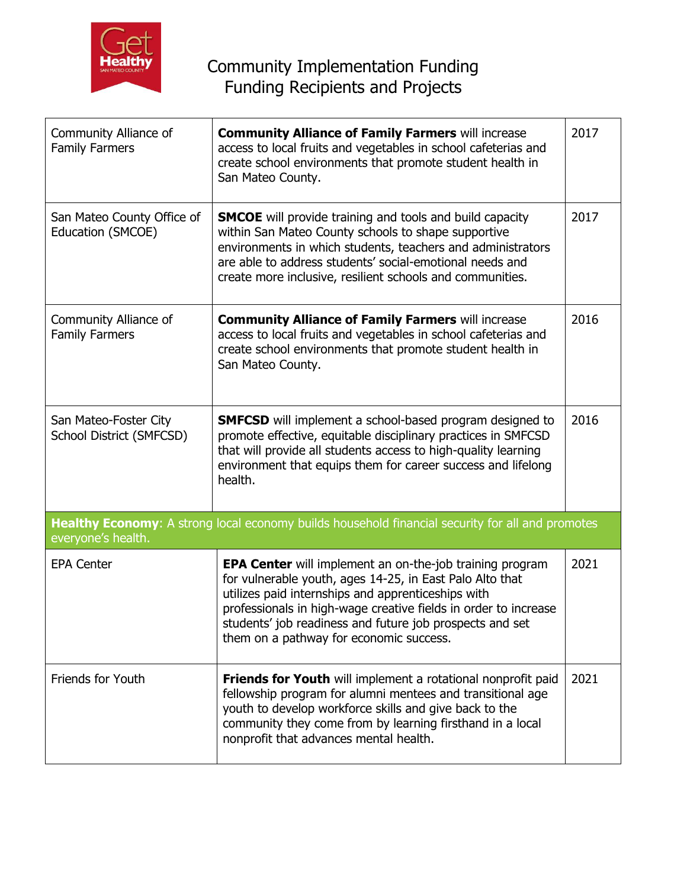

| Community Alliance of<br><b>Family Farmers</b>                                                                         | <b>Community Alliance of Family Farmers will increase</b><br>access to local fruits and vegetables in school cafeterias and<br>create school environments that promote student health in<br>San Mateo County.                                                                                                                                               | 2017 |  |
|------------------------------------------------------------------------------------------------------------------------|-------------------------------------------------------------------------------------------------------------------------------------------------------------------------------------------------------------------------------------------------------------------------------------------------------------------------------------------------------------|------|--|
| San Mateo County Office of<br>Education (SMCOE)                                                                        | <b>SMCOE</b> will provide training and tools and build capacity<br>within San Mateo County schools to shape supportive<br>environments in which students, teachers and administrators<br>are able to address students' social-emotional needs and<br>create more inclusive, resilient schools and communities.                                              | 2017 |  |
| Community Alliance of<br><b>Family Farmers</b>                                                                         | <b>Community Alliance of Family Farmers will increase</b><br>access to local fruits and vegetables in school cafeterias and<br>create school environments that promote student health in<br>San Mateo County.                                                                                                                                               | 2016 |  |
| San Mateo-Foster City<br>School District (SMFCSD)                                                                      | <b>SMFCSD</b> will implement a school-based program designed to<br>promote effective, equitable disciplinary practices in SMFCSD<br>that will provide all students access to high-quality learning<br>environment that equips them for career success and lifelong<br>health.                                                                               | 2016 |  |
| Healthy Economy: A strong local economy builds household financial security for all and promotes<br>everyone's health. |                                                                                                                                                                                                                                                                                                                                                             |      |  |
| <b>EPA Center</b>                                                                                                      | <b>EPA Center</b> will implement an on-the-job training program<br>for vulnerable youth, ages 14-25, in East Palo Alto that<br>utilizes paid internships and apprenticeships with<br>professionals in high-wage creative fields in order to increase<br>students' job readiness and future job prospects and set<br>them on a pathway for economic success. | 2021 |  |
| <b>Friends for Youth</b>                                                                                               | Friends for Youth will implement a rotational nonprofit paid<br>fellowship program for alumni mentees and transitional age<br>youth to develop workforce skills and give back to the<br>community they come from by learning firsthand in a local<br>nonprofit that advances mental health.                                                                 | 2021 |  |